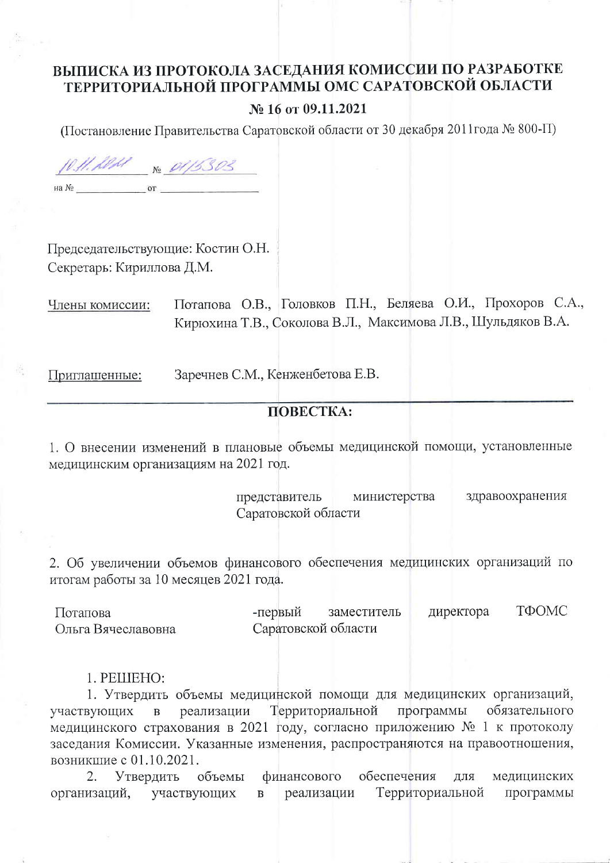## ВЫПИСКА ИЗ ПРОТОКОЛА ЗАСЕДАНИЯ КОМИССИИ ПО РАЗРАБОТКЕ ТЕРРИТОРИАЛЬНОЙ ПРОГРАММЫ ОМС САРАТОВСКОЙ ОБЛАСТИ

## № 16 от 09.11.2021

(Постановление Правительства Саратовской области от 30 декабря 2011года № 800-П)

10.11.1011 No 01/5303  $\text{H}$  a  $\text{Ne}$   $\text{OT}$ 

Председательствующие: Костин О.Н. Секретарь: Кириллова Д.М.

Потапова О.В., Головков П.Н., Беляева О.И., Прохоров С.А., Члены комиссии: Кирюхина Т.В., Соколова В.Л., Максимова Л.В., Шульдяков В.А.

Приглашенные:

Заречнев С.М., Кенженбетова Е.В.

## **TIOBECTKA:**

1. О внесении изменений в плановые объемы медицинской помощи, установленные медицинским организациям на 2021 год.

> министерства здравоохранения представитель Саратовской области

2. Об увеличении объемов финансового обеспечения медицинских организаций по итогам работы за 10 месяцев 2021 года.

ТФОМС -первый лиректора Потапова заместитель Саратовской области Ольга Вячеславовна

## 1. PELLIEHO:

1. Утвердить объемы медицинской помощи для медицинских организаций, обязательного Территориальной программы участвующих  $\overline{B}$ реализации медицинского страхования в 2021 году, согласно приложению № 1 к протоколу заседания Комиссии. Указанные изменения, распространяются на правоотношения, возникцие с 01.10.2021.

2. Утвердить объемы финансового обеспечения ДЛЯ медицинских Территориальной организаций, участвующих  $\mathbf{B}$ реализации программы